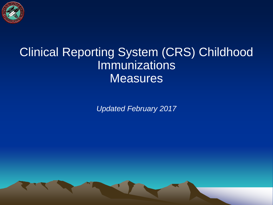

#### Clinical Reporting System (CRS) Childhood Immunizations **Measures**

*Updated February 2017*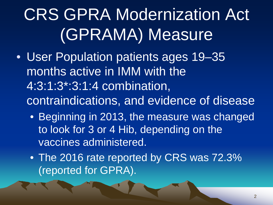# CRS GPRA Modernization Act (GPRAMA) Measure

- User Population patients ages 19–35 months active in IMM with the 4:3:1:3\*:3:1:4 combination, contraindications, and evidence of disease
	- Beginning in 2013, the measure was changed to look for 3 or 4 Hib, depending on the vaccines administered.
	- The 2016 rate reported by CRS was 72.3% (reported for GPRA).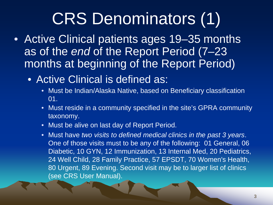# CRS Denominators (1)

- Active Clinical patients ages 19–35 months as of the *end* of the Report Period (7–23 months at beginning of the Report Period)
	- Active Clinical is defined as:
		- Must be Indian/Alaska Native, based on Beneficiary classification 01.
		- Must reside in a community specified in the site's GPRA community taxonomy.
		- Must be alive on last day of Report Period.
		- Must have *two visits to defined medical clinics in the past 3 years*. One of those visits must to be any of the following: 01 General, 06 Diabetic, 10 GYN, 12 Immunization, 13 Internal Med, 20 Pediatrics, 24 Well Child, 28 Family Practice, 57 EPSDT, 70 Women's Health, 80 Urgent, 89 Evening. Second visit may be to larger list of clinics (see CRS User Manual).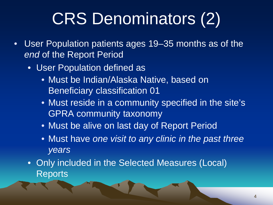# CRS Denominators (2)

- User Population patients ages 19–35 months as of the *end* of the Report Period
	- User Population defined as
		- Must be Indian/Alaska Native, based on Beneficiary classification 01
		- Must reside in a community specified in the site's GPRA community taxonomy
		- Must be alive on last day of Report Period
		- Must have *one visit to any clinic in the past three years*
	- Only included in the Selected Measures (Local) Reports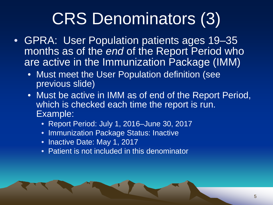# CRS Denominators (3)

- GPRA: User Population patients ages 19–35 months as of the *end* of the Report Period who are active in the Immunization Package (IMM)
	- Must meet the User Population definition (see previous slide)
	- Must be active in IMM as of end of the Report Period, which is checked each time the report is run. Example:
		- Report Period: July 1, 2016–June 30, 2017
		- Immunization Package Status: Inactive
		- Inactive Date: May 1, 2017
		- Patient is not included in this denominator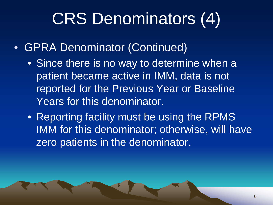# CRS Denominators (4)

- GPRA Denominator (Continued)
	- Since there is no way to determine when a patient became active in IMM, data is not reported for the Previous Year or Baseline Years for this denominator.
	- Reporting facility must be using the RPMS IMM for this denominator; otherwise, will have zero patients in the denominator.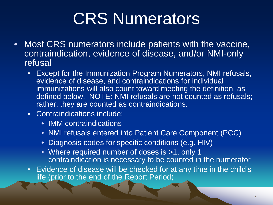# CRS Numerators

- Most CRS numerators include patients with the vaccine, contraindication, evidence of disease, and/or NMI-only refusal
	- Except for the Immunization Program Numerators, NMI refusals, evidence of disease, and contraindications for individual immunizations will also count toward meeting the definition, as defined below. NOTE: NMI refusals are not counted as refusals; rather, they are counted as contraindications.
	- Contraindications include:
		- IMM contraindications
		- NMI refusals entered into Patient Care Component (PCC)
		- Diagnosis codes for specific conditions (e.g. HIV)
		- Where required number of doses is >1, only 1 contraindication is necessary to be counted in the numerator
	- Evidence of disease will be checked for at any time in the child's life (prior to the end of the Report Period)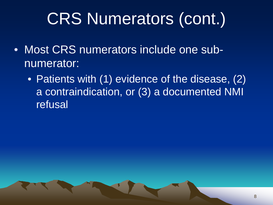# CRS Numerators (cont.)

- Most CRS numerators include one subnumerator:
	- Patients with (1) evidence of the disease, (2) a contraindication, or (3) a documented NMI refusal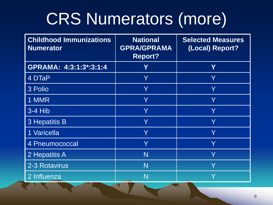# CRS Numerators (more)

| <b>Childhood Immunizations</b><br><b>Numerator</b> | <b>National</b><br><b>GPRA/GPRAMA</b><br><b>Report?</b> | <b>Selected Measures</b><br>(Local) Report? |
|----------------------------------------------------|---------------------------------------------------------|---------------------------------------------|
| GPRAMA: 4:3:1:3*:3:1:4                             | Υ                                                       | Y                                           |
| 4 DTaP                                             | Y                                                       | Y                                           |
| 3 Polio                                            | Y                                                       | Y                                           |
| 1 MMR                                              | Ÿ                                                       | Y                                           |
| $3-4$ Hib                                          | Y                                                       | Y                                           |
| 3 Hepatitis B                                      | Y                                                       | Y                                           |
| 1 Varicella                                        | Ÿ                                                       | Ÿ                                           |
| 4 Pneumococcal                                     | Y                                                       | Y                                           |
| 2 Hepatitis A                                      | N                                                       | Y                                           |
| 2-3 Rotavirus                                      | N                                                       | Y                                           |
| 2 Influenza                                        | N<br>$\overline{\phantom{a}}$                           |                                             |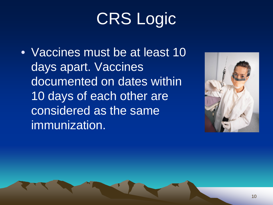# CRS Logic

• Vaccines must be at least 10 days apart. Vaccines documented on dates within 10 days of each other are considered as the same immunization.

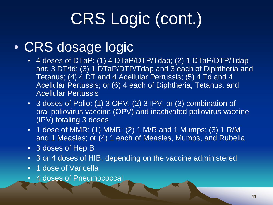# CRS Logic (cont.)

#### • CRS dosage logic

- 4 doses of DTaP: (1) 4 DTaP/DTP/Tdap; (2) 1 DTaP/DTP/Tdap and 3 DT/td; (3) 1 DTaP/DTP/Tdap and 3 each of Diphtheria and Tetanus; (4) 4 DT and 4 Acellular Pertussis; (5) 4 Td and 4 Acellular Pertussis; or (6) 4 each of Diphtheria, Tetanus, and Acellular Pertussis
- 3 doses of Polio: (1) 3 OPV, (2) 3 IPV, or (3) combination of oral poliovirus vaccine (OPV) and inactivated poliovirus vaccine (IPV) totaling 3 doses
- 1 dose of MMR: (1) MMR; (2) 1 M/R and 1 Mumps; (3) 1 R/M and 1 Measles; or (4) 1 each of Measles, Mumps, and Rubella
- 3 doses of Hep B
- 3 or 4 doses of HIB, depending on the vaccine administered
- 1 dose of Varicella
- 4 doses of Pneumococcal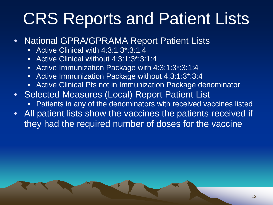#### CRS Reports and Patient Lists

- National GPRA/GPRAMA Report Patient Lists
	- Active Clinical with 4:3:1:3\*:3:1:4
	- Active Clinical without 4:3:1:3\*:3:1:4
	- Active Immunization Package with 4:3:1:3\*:3:1:4
	- Active Immunization Package without 4:3:1:3\*:3:4
	- Active Clinical Pts not in Immunization Package denominator
- Selected Measures (Local) Report Patient List
	- Patients in any of the denominators with received vaccines listed
- All patient lists show the vaccines the patients received if they had the required number of doses for the vaccine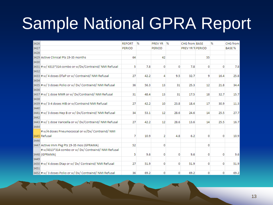# Sample National GPRA Report

| 3426 |                                                            | <b>REPORT</b> | %    | <b>PREV YR</b> | 96   | CHG from BASE           |    | %    | CHG from      |
|------|------------------------------------------------------------|---------------|------|----------------|------|-------------------------|----|------|---------------|
| 3427 |                                                            | <b>PERIOD</b> |      | <b>PERIOD</b>  |      | <b>PREV YR % PERIOD</b> |    |      | <b>BASE %</b> |
| 3428 |                                                            |               |      |                |      |                         |    |      |               |
|      | 3429 Active Clinical Pts 19-35 months                      | 64            |      | 42             |      |                         | 55 |      |               |
| 3430 |                                                            |               |      |                |      |                         |    |      |               |
|      | 3431 # w/ 4313*314 combo or w/Dx/Contraind/ NMI Refusal    | 5.            | 7.8  | 0              | 0    | 7.8                     | 0  | 0    | 7.8           |
| 3432 |                                                            |               |      |                |      |                         |    |      |               |
|      | 3433 # w/ 4 doses DTaP or w/ Contraind/ NMI Refusal        | 27            | 42.2 | 4              | 9.5  | 32.7                    | 9  | 16.4 | 25.8          |
| 3434 |                                                            |               |      |                |      |                         |    |      |               |
|      | 3435 # w/ 3 doses Polio or w/ Dx/ Contraind/ NMI Refusal   | 36            | 56.3 | 13             | 31   | 25.3                    | 12 | 21.8 | 34.4          |
| 3436 |                                                            |               |      |                |      |                         |    |      |               |
|      | 3437 # w/ 1 dose MMR or w/ Dx/Contraind/ NMI Refusal       | 31            | 48.4 | 13             | 31   | 17.5                    | 18 | 32.7 | 15.7          |
| 3438 |                                                            |               |      |                |      |                         |    |      |               |
|      | 3439 # w/ 3-4 doses HIB or w/Contraind NMI Refusal         | 27            | 42.2 | 10             | 23.8 | 18.4                    | 17 | 30.9 | 11.3          |
| 3440 |                                                            |               |      |                |      |                         |    |      |               |
|      | 3441 # w/ 3 doses Hep B or w/ Dx/Contraind/ NMI Refusal    | 34            | 53.1 | 12             | 28.6 | 24.6                    | 14 | 25.5 | 27.7          |
| 3442 |                                                            |               |      |                |      |                         |    |      |               |
|      | 3443 # w/ 1 dose Varicella or w/ Dx/Contraind/ NMI Refusal | 27            | 42.2 | 12             | 28.6 | 13.6                    | 14 | 25.5 | 16.7          |
| 3444 |                                                            |               |      |                |      |                         |    |      |               |
|      | # w/4 doses Pneumococcal or w/Dx/ Contraind/ NMI           |               |      |                |      |                         |    |      |               |
|      | 3445 Refusal                                               | 7             | 10.9 | 2              | 4.8  | 6.2                     | 0  | 0    | 10.9          |
| 3446 |                                                            |               |      |                |      |                         |    |      |               |
|      | 3447 Active Imm Pkg Pts 19-35 mos (GPRAMA)                 | 52            |      | 0              |      |                         | 0  |      |               |
|      | #w/4313*314 combo or w/ Dx/ Contraind/ NMI Refusal         |               |      |                |      |                         |    |      |               |
|      | 3448 (GPRAMA)                                              | 5             | 9.6  | 0              | 0    | 9.6                     | 0  | 0    | 9.6           |
| 3449 |                                                            |               |      |                |      |                         |    |      |               |
|      | 3450 # w/ 4 doses Dtap or w/ Dx/ Contraind/ NMI Refusal    | 27            | 51.9 | 0              | 0    | 51.9                    | 0  | 0    | 51.9          |
| 3451 |                                                            |               |      |                |      |                         |    |      |               |
|      | 3452 # w/ 3 doses Polio or w/ Dx/ Contraind/ NMI Refusal   | 36            | 69.2 | 0              | 0    | 69.2                    | 0  | 0    | 69.2          |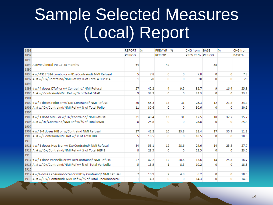#### Sample Selected Measures (Local) Report

| 1891 |                                                                | <b>REPORT</b> | %    | <b>PREV YR</b> | $\frac{9}{6}$ | CHG from         | <b>BASE</b> | ℅        | CHG from        |
|------|----------------------------------------------------------------|---------------|------|----------------|---------------|------------------|-------------|----------|-----------------|
| 1892 |                                                                | <b>PERIOD</b> |      | <b>PERIOD</b>  |               | PREV YR % PERIOD |             |          | <b>BASE%</b>    |
| 1893 |                                                                |               |      |                |               |                  |             |          |                 |
|      | 1894 Active Clinical Pts 19-35 months                          | 64            |      | 42             |               |                  | 55          |          |                 |
| 1895 |                                                                |               |      |                |               |                  |             |          |                 |
|      | 1896 # w/ 4313*314 combo or w/Dx/Contraind/ NMI Refusal        | 5             | 7.8  | 0              | 0             | 7.8              | 0           | 0        | 7.8             |
|      | 1897 A. # w/ Dx/Contraind/NMI Ref w/ % of Total 4313*314       | $\mathbf{1}$  | 20   | 0              | 0             | 20               | 0           | 0        | 20 <sup>°</sup> |
| 1898 |                                                                |               |      |                |               |                  |             |          |                 |
|      | 1899 # w/ 4 doses DTaP or w/ Contraind/ NMI Refusal            | 27            | 42.2 | 4              | 9.5           | 32.7             | 9           | 16.4     | 25.8            |
|      | 1900 A. # w/ Contraind/NMI Ref w/ % of Total DTaP              | 9             | 33.3 | 0              | 0             | 33.3             | 0           | 0        | 33.3            |
| 1901 |                                                                |               |      |                |               |                  |             |          |                 |
|      | 1902 # w/ 3 doses Polio or w/ Dx/ Contraind/ NMI Refusal       | 36            | 56.3 | 13             | 31            | 25.3             | 12          | 21.8     | 34.4            |
|      | 1903 A. # w/ Dx/Contraind/NMI Ref w/ % of Total Polio          | 11            | 30.6 | 0              | 0             | 30.6             | 0           | 0        | 30.6            |
| 1904 |                                                                |               |      |                |               |                  |             |          |                 |
|      | 1905 # w/ 1 dose MMR or w/ Dx/Contraind/ NMI Refusal           | 31            | 48.4 | 13             | 31            | 17.5             | 18          | 32.7     | 15.7            |
|      | 1906 A. # w/Dx/Contraind/NMI Ref w/ % of Total MMR             | 8             | 25.8 | 0              | 0             | 25.8             | 0           | 0        | 25.8            |
| 1907 |                                                                |               |      |                |               |                  |             |          |                 |
|      | 1908 # w/ 3-4 doses HIB or w/Contraind NMI Refusal             | 27            | 42.2 | 10             | 23.8          | 18.4             | 17          | 30.9     | 11.3            |
|      | 1909 A. # w/ Contraind/NMI Ref w/ % of Total HIB               | 5             | 18.5 | 0              | 0             | 18.5             | 0           | 0        | 18.5            |
| 1910 |                                                                |               |      |                |               |                  |             |          |                 |
|      | 1911 # w/ 3 doses Hep B or w/ Dx/Contraind/ NMI Refusal        | 34            | 53.1 | 12             | 28.6          | 24.6             | 14          | 25.5     | 27.7            |
|      | 1912 A. # w/ Dx/Contraind/NMI Ref w/ % of Total HEP B          | 8             | 23.5 | 0              | 0             | 23.5             | 0           | 0        | 23.5            |
| 1913 |                                                                |               |      |                |               |                  |             |          |                 |
|      | 1914 # w/ 1 dose Varicella or w/ Dx/Contraind/ NMI Refusal     | 27            | 42.2 | 12             | 28.6          | 13.6             | 14          | 25.5     | 16.7            |
|      | 1915 A. # w/ Dx/Contraind/NMI Ref w/ % of Total Varicella      | 5             | 18.5 | 1              | 8.3           | 10.2             | $\Omega$    | $\Omega$ | 18.5            |
| 1916 |                                                                |               |      |                |               |                  |             |          |                 |
|      | 1917 # w/4 doses Pneumococcal or w/Dx/ Contraind/ NMI Refusal  | 7             | 10.9 | $\overline{2}$ | 4.8           | 6.2              | 0           | 0        | 10.9            |
|      | 1918 A. # w/ Dx/ Contraind/ NMI Ref w/ % of Total Pneumococcal | $\mathbf{1}$  | 14.3 | 0              | 0             | 14.3             | 0           | 0        | 14.3            |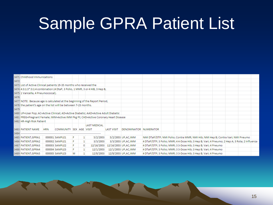#### Sample GPRA Patient List

|      | 3471 Childhood Immunizations                                                        |            |                         |   |   |                     |                   |                              |                                                                                               |  |  |  |  |
|------|-------------------------------------------------------------------------------------|------------|-------------------------|---|---|---------------------|-------------------|------------------------------|-----------------------------------------------------------------------------------------------|--|--|--|--|
| 3472 |                                                                                     |            |                         |   |   |                     |                   |                              |                                                                                               |  |  |  |  |
|      | 3473 List of Active Clinical patients 19-35 months who received the                 |            |                         |   |   |                     |                   |                              |                                                                                               |  |  |  |  |
|      | 3474 4:3:1:3*:3:1:4 combination (4 DtaP, 3 Polio, 1 MMR, 3 or 4 HiB, 3 Hep B,       |            |                         |   |   |                     |                   |                              |                                                                                               |  |  |  |  |
|      | 3475 1 Varicella, 4 Pneumococcal).                                                  |            |                         |   |   |                     |                   |                              |                                                                                               |  |  |  |  |
| 3476 |                                                                                     |            |                         |   |   |                     |                   |                              |                                                                                               |  |  |  |  |
|      | 3477 NOTE: Because age is calculated at the beginning of the Report Period,         |            |                         |   |   |                     |                   |                              |                                                                                               |  |  |  |  |
|      | 3478 the patient's age on the list will be between 7-23 months.                     |            |                         |   |   |                     |                   |                              |                                                                                               |  |  |  |  |
| 3479 |                                                                                     |            |                         |   |   |                     |                   |                              |                                                                                               |  |  |  |  |
|      | 3480 UP=User Pop; AC=Active Clinical; AD=Active Diabetic; AAD=Active Adult Diabetic |            |                         |   |   |                     |                   |                              |                                                                                               |  |  |  |  |
|      | 3481 PREG=Pregnant Female; IMM=Active IMM Pkg Pt; CHD=Active Coronary Heart Disease |            |                         |   |   |                     |                   |                              |                                                                                               |  |  |  |  |
|      | 3482 HR-High Risk Patient                                                           |            |                         |   |   |                     |                   |                              |                                                                                               |  |  |  |  |
|      |                                                                                     |            |                         |   |   | <b>LAST MEDICAL</b> |                   |                              |                                                                                               |  |  |  |  |
|      | 3483 PATIENT NAME                                                                   | <b>HRN</b> | COMMUNITY SEX AGE VISIT |   |   |                     | <b>LAST VISIT</b> | <b>DENOMINATOR NUMERATOR</b> |                                                                                               |  |  |  |  |
|      |                                                                                     |            |                         |   |   |                     |                   |                              |                                                                                               |  |  |  |  |
|      | 3485 PATIENT, GPRA1                                                                 |            | 000001 SAMPLE1          | F |   | 5/2/2003            |                   | 5/2/2003 UP, AC, IMM         | NMI DTaP/DTP; NMI Polio; Contra MMR; NMI Hib; NMI Hep B; Contra Vari; NMI Pneumo              |  |  |  |  |
|      | 3486 PATIENT, GPRA2                                                                 |            | 000002 SAMPLE1          | F |   | 3/3/2003            |                   | 3/3/2003 UP, AC, IMM         | 4 DTaP/DTP; 3 Polio; MMR; 4 4-Dose Hib; 3 Hep B; Vari; 4 Pneumo; 2 Hep A; 3 Rota; 2 Influenza |  |  |  |  |
|      | 3487 PATIENT, GPRA3                                                                 |            | 000003 SAMPLE2          | F | 0 | 12/16/2003          |                   | 12/16/2003 UP, AC, IMM       | 4 DTaP/DTP; 3 Polio; MMR; 3 3-Dose Hib; 3 Hep B; Vari; 4 Pneumo                               |  |  |  |  |
|      | 3488 PATIENT, GPRA4                                                                 |            | 000004 SAMPLE3          | F |   | 12/1/2003           |                   | 12/1/2003 UP, AC, IMM        | 4 DTaP/DTP; 3 Polio; MMR; 3 3-Dose Hib; 3 Hep B; Vari; 4 Pneumo                               |  |  |  |  |
|      | 3489 PATIENT, GPRA5                                                                 |            | 000005 SAMPLE3          | M |   | 12/8/2003           |                   | 12/8/2003 UP, AC, IMM        | 4 DTaP/DTP; 3 Polio; MMR; 3 3-Dose Hib; 3 Hep B; Vari; 4 Pneumo                               |  |  |  |  |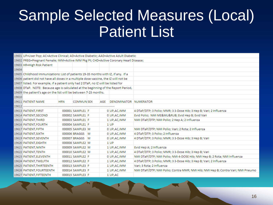#### Sample Selected Measures (Local) Patient List

|       | 19601 UP=User Pop; AC=Active Clinical; AD=Active Diabetic; AAD=Active Adult Diabetic  |            |                   |  |     |                              |                                                                                  |  |  |
|-------|---------------------------------------------------------------------------------------|------------|-------------------|--|-----|------------------------------|----------------------------------------------------------------------------------|--|--|
|       | 19602 PREG=Pregnant Female; IMM=Active IMM Pkg Pt; CHD=Active Coronary Heart Disease; |            |                   |  |     |                              |                                                                                  |  |  |
|       | 19603 HR=High Risk Patient                                                            |            |                   |  |     |                              |                                                                                  |  |  |
| 19604 |                                                                                       |            |                   |  |     |                              |                                                                                  |  |  |
|       | 19605 Childhood Immunizations: List of patients 19-35 months with IZ, if any. If a    |            |                   |  |     |                              |                                                                                  |  |  |
|       | 19606 patient did not have all doses in a multiple dose vaccine, the IZ will not be   |            |                   |  |     |                              |                                                                                  |  |  |
|       | 19607 listed. For example, if a patient only had 2 DTaP, no IZ will be listed for     |            |                   |  |     |                              |                                                                                  |  |  |
|       | 19608 DTaP. NOTE: Because age is calculated at the beginning of the Report Period,    |            |                   |  |     |                              |                                                                                  |  |  |
|       | 19609 the patient's age on the list will be between 7-23 months.                      |            |                   |  |     |                              |                                                                                  |  |  |
| 19610 |                                                                                       |            |                   |  |     |                              |                                                                                  |  |  |
|       | 19611 PATIENT NAME                                                                    | <b>HRN</b> | <b>COMMUN SEX</b> |  | AGE | <b>DENOMINATOR NUMERATOR</b> |                                                                                  |  |  |
|       | 19612 ----------------                                                                |            |                   |  |     |                              |                                                                                  |  |  |
|       | 19613 PATIENT, FIRST                                                                  |            | 000001 SAMPLE1 F  |  |     | 0 UP, AC, IMM                | 4 DTaP/DTP; 3 Polio; MMR; 3 3-Dose Hib; 3 Hep B; Vari; 2 Influenza               |  |  |
|       | 19614 PATIENT, SECOND                                                                 |            | 000002 SAMPLE1 F  |  |     | 0 UP, AC, IMM                | Evid Polio; NMI ME&MU&RUB Evid Hep B; Evid Vari                                  |  |  |
|       | 19615 PATIENT, THIRD                                                                  |            | 000003 SAMPLE1 F  |  |     | 1 UP, AC, IMM                | NMI DTaP/DTP; NMI Polio; 2 Hep A; 2 Influenza                                    |  |  |
|       | 19616 PATIENT, FOURTH                                                                 |            | 000004 SAMPLE1 F  |  |     | $1$ UP                       |                                                                                  |  |  |
|       | 19617 PATIENT, FIFTH                                                                  |            | 000005 SAMPLE3 M  |  |     | 0 UP, AC, IMM                | NMI DTaP/DTP; NMI Polio; Vari; 2 Rota; 2 Influenza                               |  |  |
|       | 19618 PATIENT, SIXTH                                                                  |            | 000006 BRAGGS M   |  |     | 0 UP, AC, IMM                | 4 DTaP/DTP; 3 Polio; 2 Influenza                                                 |  |  |
|       | 19619 PATIENT, SEVENTH                                                                |            | 000007 BRAGGS M   |  |     | 0 UP, AC, IMM                | 4 DTaP/DTP; 3 Polio; MMR; 3 3-Dose Hib; 3 Hep B; Vari                            |  |  |
|       | 19620 PATIENT, EIGHTH                                                                 |            | 000008 SAMPLE2 M  |  |     | $1$ UP                       |                                                                                  |  |  |
|       | 19621 PATIENT, NINTH                                                                  |            | 000009 SAMPLE2 M  |  |     | 1 UP, AC, IMM                | Evid Hep A; 2 Influenza                                                          |  |  |
|       | 19622 PATIENT, TENTH                                                                  |            | 000010 SAMPLE2 M  |  |     | 1 UP, AC, IMM                | 4 DTaP/DTP; 3 Polio; MMR; 3 3-Dose Hib; 3 Hep B; Vari                            |  |  |
|       | 19623 PATIENT, ELEVENTH                                                               |            | 000011 SAMPLE2 F  |  |     | 0 UP, AC, IMM                | NMI DTaP/DTP; NMI Polio; NMI 4-DOSE Hib; NMI Hep B; 2 Rota; NMI Influenza        |  |  |
|       | 19624 PATIENT, TWELFTH                                                                |            | 000012 SAMPLE2 F  |  |     | 1 UP, AC, IMM                | 4 DTaP/DTP; 3 Polio; MMR; 3 3-Dose Hib; 3 Hep B; Vari; 2 Influenza               |  |  |
|       | 19625 PATIENT, THIRTEENTH                                                             |            | 000013 SAMPLE3 F  |  |     | 1 UP, AC, IMM                | Vari; 3 Rota; 2 Influenza                                                        |  |  |
|       | 19626 PATIENT, FOURTEENTH                                                             |            | 000014 SAMPLE3 F  |  |     | 1 UP, AC, IMM                | NMI DTaP/DTP; NMI Polio; Contra MMR; NMI Hib; NMI Hep B; Contra Vari; NMI Pneumo |  |  |
|       | 19627 PATIENT, FIFTEENTH                                                              |            | 000015 SAMPLE3 F  |  |     | 1 UP, AC                     |                                                                                  |  |  |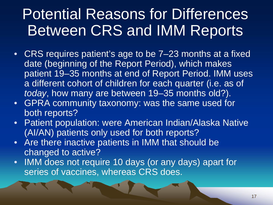#### Potential Reasons for Differences Between CRS and IMM Reports

- CRS requires patient's age to be 7–23 months at a fixed date (beginning of the Report Period), which makes patient 19–35 months at end of Report Period. IMM uses a different cohort of children for each quarter (i.e. as of *today*, how many are between 19–35 months old?).
- GPRA community taxonomy: was the same used for both reports?
- Patient population: were American Indian/Alaska Native (AI/AN) patients only used for both reports?
- Are there inactive patients in IMM that should be changed to active?
- IMM does not require 10 days (or any days) apart for series of vaccines, whereas CRS does.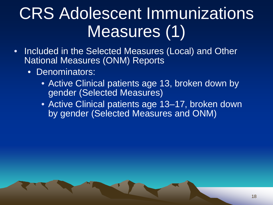### CRS Adolescent Immunizations Measures (1)

- Included in the Selected Measures (Local) and Other National Measures (ONM) Reports
	- Denominators:
		- Active Clinical patients age 13, broken down by gender (Selected Measures)
		- Active Clinical patients age 13-17, broken down by gender (Selected Measures and ONM)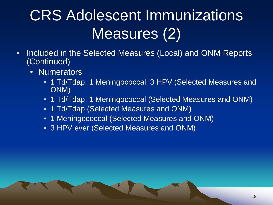#### CRS Adolescent Immunizations Measures (2)

- Included in the Selected Measures (Local) and ONM Reports (Continued)
	- Numerators
		- 1 Td/Tdap, 1 Meningococcal, 3 HPV (Selected Measures and ONM)
		- 1 Td/Tdap, 1 Meningococcal (Selected Measures and ONM)
		- 1 Td/Tdap (Selected Measures and ONM)
		- 1 Meningococcal (Selected Measures and ONM)
		- 3 HPV ever (Selected Measures and ONM)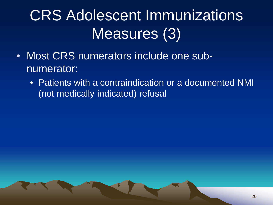#### CRS Adolescent Immunizations Measures (3)

- Most CRS numerators include one subnumerator:
	- Patients with a contraindication or a documented NMI (not medically indicated) refusal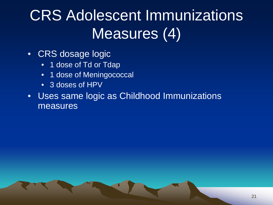#### CRS Adolescent Immunizations Measures (4)

- CRS dosage logic
	- 1 dose of Td or Tdap
	- 1 dose of Meningococcal
	- 3 doses of HPV
- Uses same logic as Childhood Immunizations measures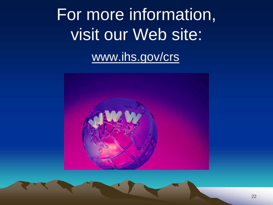# For more information, visit our Web site: [www.ihs.gov/crs](http://www.ihs.gov/crs)

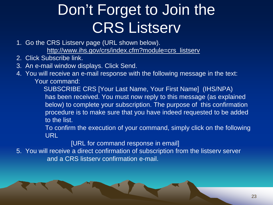#### Don't Forget to Join the CRS Listserv

- 1. Go the CRS Listserv page (URL shown below). [http://www.ihs.gov/crs/index.cfm?module=crs\\_listserv](http://www.ihs.gov/cio/crs/index.cfm?module=crs_listserv)
- 2. Click Subscribe link.
- 3. An e-mail window displays. Click Send.
- 4. You will receive an e-mail response with the following message in the text: Your command:

 SUBSCRIBE CRS [Your Last Name, Your First Name] (IHS/NPA) has been received. You must now reply to this message (as explained below) to complete your subscription. The purpose of this confirmation procedure is to make sure that you have indeed requested to be added to the list.

 To confirm the execution of your command, simply click on the following URL

[URL for command response in email]

5. You will receive a direct confirmation of subscription from the listserv server and a CRS listserv confirmation e-mail.